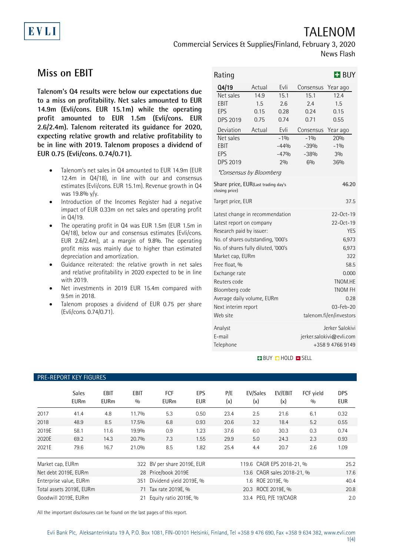# TALENOM

Commercial Services & Supplies/Finland, February 3, 2020 News Flash

## **Miss on EBIT**

EVLI

**Talenom's Q4 results were below our expectations due to a miss on profitability. Net sales amounted to EUR 14.9m (Evli/cons. EUR 15.1m) while the operating profit amounted to EUR 1.5m (Evli/cons. EUR 2.6/2.4m). Talenom reiterated its guidance for 2020, expecting relative growth and relative profitability to be in line with 2019. Talenom proposes a dividend of EUR 0.75 (Evli/cons. 0.74/0.71).** 

- Talenom's net sales in Q4 amounted to EUR 14.9m (EUR 12.4m in Q4/18), in line with our and consensus estimates (Evli/cons. EUR 15.1m). Revenue growth in Q4 was 19.8% y/y.
- Introduction of the Incomes Register had a negative impact of EUR 0.33m on net sales and operating profit in Q4/19.
- The operating profit in Q4 was EUR 1.5m (EUR 1.5m in Q4/18), below our and consensus estimates (Evli/cons. EUR 2.6/2.4m), at a margin of 9.8%. The operating profit miss was mainly due to higher than estimated depreciation and amortization.
- Guidance reiterated: the relative growth in net sales and relative profitability in 2020 expected to be in line with 2019.
- Net investments in 2019 EUR 15.4m compared with 9.5m in 2018.
- Talenom proposes a dividend of EUR 0.75 per share (Evli/cons. 0.74/0.71).

| Rating                                                                                                                                                                                                                                                                                                                       |                                                 |                                                                                                                                                                         |                                                                                          | <b>H</b> BUY                                                                     |  |
|------------------------------------------------------------------------------------------------------------------------------------------------------------------------------------------------------------------------------------------------------------------------------------------------------------------------------|-------------------------------------------------|-------------------------------------------------------------------------------------------------------------------------------------------------------------------------|------------------------------------------------------------------------------------------|----------------------------------------------------------------------------------|--|
| Q4/19<br>Net sales<br>EBIT<br>EPS<br><b>DPS 2019</b><br>Deviation<br>Net sales<br>EBIT<br>EPS<br><b>DPS 2019</b>                                                                                                                                                                                                             | Actual<br>14.9<br>1.5<br>0.15<br>0.75<br>Actual | Evli<br>15.1<br>2.6<br>0.28<br>0.74<br>Evli<br>$-1%$<br>$-44%$<br>$-47%$<br>2%                                                                                          | Consensus<br>15.1<br>2.4<br>0.24<br>0.71<br>Consensus<br>$-1%$<br>$-39%$<br>$-38%$<br>6% | Year ago<br>12.4<br>1.5<br>0.15<br>0.55<br>Year ago<br>20%<br>$-1%$<br>3%<br>36% |  |
| <i>*Consensus by Bloomberg</i><br>Share price, EUR(Last trading day's<br>46.20<br>closing price)<br>Target price, EUR<br>37.5                                                                                                                                                                                                |                                                 |                                                                                                                                                                         |                                                                                          |                                                                                  |  |
| Latest change in recommendation<br>Latest report on company<br>Research paid by issuer:<br>No. of shares outstanding, '000's<br>No. of shares fully diluted, '000's<br>Market cap, EURm<br>Free float, %<br>Exchange rate<br>Reuters code<br>Bloomberg code<br>Average daily volume, EURm<br>Next interim report<br>Web site |                                                 | 22-0ct-19<br>$22 - 0ct - 19$<br><b>YES</b><br>6,973<br>6,973<br>322<br>58.5<br>0.000<br>TNOM.HE<br><b>TNOM FH</b><br>0.28<br>$03 - Feb - 20$<br>talenom.fi/en/investors |                                                                                          |                                                                                  |  |
| Analyst<br>E-mail<br>Telephone                                                                                                                                                                                                                                                                                               |                                                 |                                                                                                                                                                         | Jerker Salokivi<br>jerker.salokivi@evli.com<br>+358 9 4766 9149                          |                                                                                  |  |

**BUY O HOLD O SELL** 

#### PRE-REPORT KEY FIGURES

|                  | <b>Sales</b><br><b>EURm</b> | <b>EBIT</b><br><b>EURm</b> | <b>EBIT</b><br>0/0          | <b>FCF</b><br><b>EURm</b> | <b>EPS</b><br><b>EUR</b> | P/E<br>(x)                | EV/Sales<br>(x)            | EV/EBIT<br>(x) | FCF yield<br>0/0 | <b>DPS</b><br><b>EUR</b> |
|------------------|-----------------------------|----------------------------|-----------------------------|---------------------------|--------------------------|---------------------------|----------------------------|----------------|------------------|--------------------------|
| 2017             | 41.4                        | 4.8                        | 11.7%                       | 5.3                       | 0.50                     | 23.4                      | 2.5                        | 21.6           | 6.1              | 0.32                     |
| 2018             | 48.9                        | 8.5                        | 17.5%                       | 6.8                       | 0.93                     | 20.6                      | 3.2                        | 18.4           | 5.2              | 0.55                     |
| 2019E            | 58.1                        | 11.6                       | 19.9%                       | 0.9                       | 1.23                     | 37.6                      | 6.0                        | 30.3           | 0.3              | 0.74                     |
| 2020E            | 69.2                        | 14.3                       | 20.7%                       | 7.3                       | 1.55                     | 29.9                      | 5.0                        | 24.3           | 2.3              | 0.93                     |
| 2021E            | 79.6                        | 16.7                       | 21.0%                       | 8.5                       | 1.82                     | 25.4                      | 4.4                        | 20.7           | 2.6              | 1.09                     |
| Market cap, EURm |                             |                            | 322 BV per share 2019E, EUR |                           |                          | 119.6 CAGR EPS 2018-21, % |                            |                | 25.2             |                          |
|                  | Net debt 2019E, EURm        |                            |                             | 28 Price/book 2019E       |                          |                           | 13.6 CAGR sales 2018-21, % |                |                  | 17.6                     |
|                  | Enterprise value, EURm      |                            | 351                         | Dividend yield 2019E, %   |                          |                           | 1.6 ROE 2019E, %           |                |                  | 40.4                     |
|                  | Total assets 2019E, EURm    |                            | 71                          | Tax rate 2019E, %         |                          |                           | 20.3 ROCE 2019E. %         |                |                  | 20.8                     |
|                  | Goodwill 2019E. EURm        |                            |                             | 21 Equity ratio 2019E, %  |                          |                           | 33.4 PEG, P/E 19/CAGR      |                |                  | 2.0                      |

All the important disclosures can be found on the last pages of this report.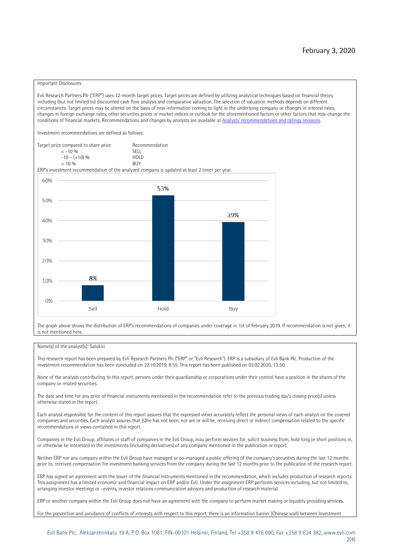#### Important Disclosures

Evli Research Partners Plc ("ERP") uses 12-month target prices. Target prices are defined by utilizing analytical techniques based on financial theory including (but not limited to) discounted cash flow analysis and comparative valuation. The selection of valuation methods depends on different circumstances. Target prices may be altered on the basis of new information coming to light in the underlying company or changes in interest rates, changes in foreign exchange rates, other securities prices or market indices or outlook for the aforementioned factors or other factors that may change the conditions of financial markets. Recommendations and changes by analysts are available at [Analysts' recommendations and ratings revisions](https://research.evli.com/JasperAllModels.action?authParam=key;461&authParam=x;G3rNagWrtf7K&authType=3).

Investment recommendations are defined as follows:

| Target price compared to share price | Recommendation                |  |  |
|--------------------------------------|-------------------------------|--|--|
| $<-10.06$                            | <b>SELL</b>                   |  |  |
| $-10 - (+10)$ %                      | H <sub>O</sub> I <sub>D</sub> |  |  |
| $> 10\%$                             | <b>BUY</b>                    |  |  |

ERP's investment recommendation of the analyzed company is updated at least 2 timer per year.



The graph above shows the distribution of ERP's recommendations of companies under coverage in 1st of February 2019. If recommendation is not given, it is not mentioned here.

#### Name(s) of the analyst(s): Salokivi

This research report has been prepared by Evli Research Partners Plc ("ERP" or "Evli Research"). ERP is a subsidiary of Evli Bank Plc. Production of the investment recommendation has been concluded on 22.10.2019, 8:55. This report has been published on 03.02.2020, 13:50.

None of the analysts contributing to this report, persons under their guardianship or corporations under their control have a position in the shares of the company or related securities.

The date and time for any price of financial instruments mentioned in the recommendation refer to the previous trading day's closing price(s) unless otherwise stated in the report.

Each analyst responsible for the content of this report assures that the expressed views accurately reflect the personal views of each analyst on the covered companies and securities. Each analyst assures that (s)he has not been, nor are or will be, receiving direct or indirect compensation related to the specific recommendations or views contained in this report.

Companies in the Evli Group, affiliates or staff of companies in the Evli Group, may perform services for, solicit business from, hold long or short positions in, or otherwise be interested in the investments (including derivatives) of any company mentioned in the publication or report.

Neither ERP nor any company within the Evli Group have managed or co-managed a public offering of the company's securities during the last 12 months prior to, received compensation for investment banking services from the company during the last 12 months prior to the publication of the research report.

ERP has signed an agreement with the issuer of the financial instruments mentioned in the recommendation, which includes production of research reports. This assignment has a limited economic and financial impact on ERP and/or Evli. Under the assignment ERP performs services including, but not limited to, arranging investor meetings or –events, investor relations communication advisory and production of research material.

ERP or another company within the Evli Group does not have an agreement with the company to perform market making or liquidity providing services.

For the prevention and avoidance of conflicts of interests with respect to this report, there is an information barrier (Chinese wall) between Investment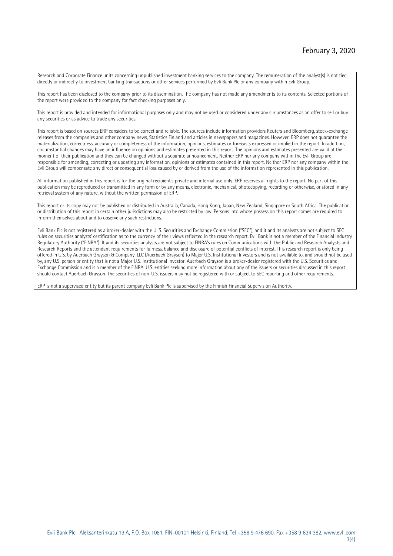Research and Corporate Finance units concerning unpublished investment banking services to the company. The remuneration of the analyst(s) is not tied directly or indirectly to investment banking transactions or other services performed by Evli Bank Plc or any company within Evli Group.

This report has been disclosed to the company prior to its dissemination. The company has not made any amendments to its contents. Selected portions of the report were provided to the company for fact checking purposes only.

This report is provided and intended for informational purposes only and may not be used or considered under any circumstances as an offer to sell or buy any securities or as advice to trade any securities.

This report is based on sources ERP considers to be correct and reliable. The sources include information providers Reuters and Bloomberg, stock-exchange releases from the companies and other company news, Statistics Finland and articles in newspapers and magazines. However, ERP does not guarantee the materialization, correctness, accuracy or completeness of the information, opinions, estimates or forecasts expressed or implied in the report. In addition, circumstantial changes may have an influence on opinions and estimates presented in this report. The opinions and estimates presented are valid at the moment of their publication and they can be changed without a separate announcement. Neither ERP nor any company within the Evli Group are responsible for amending, correcting or updating any information, opinions or estimates contained in this report. Neither ERP nor any company within the Evli Group will compensate any direct or consequential loss caused by or derived from the use of the information represented in this publication.

All information published in this report is for the original recipient's private and internal use only. ERP reserves all rights to the report. No part of this publication may be reproduced or transmitted in any form or by any means, electronic, mechanical, photocopying, recording or otherwise, or stored in any retrieval system of any nature, without the written permission of ERP.

This report or its copy may not be published or distributed in Australia, Canada, Hong Kong, Japan, New Zealand, Singapore or South Africa. The publication or distribution of this report in certain other jurisdictions may also be restricted by law. Persons into whose possession this report comes are required to inform themselves about and to observe any such restrictions.

Evli Bank Plc is not registered as a broker-dealer with the U. S. Securities and Exchange Commission ("SEC"), and it and its analysts are not subject to SEC rules on securities analysts' certification as to the currency of their views reflected in the research report. Evli Bank is not a member of the Financial Industry Regulatory Authority ("FINRA"). It and its securities analysts are not subject to FINRA's rules on Communications with the Public and Research Analysts and Research Reports and the attendant requirements for fairness, balance and disclosure of potential conflicts of interest. This research report is only being offered in U.S. by Auerbach Grayson & Company, LLC (Auerbach Grayson) to Major U.S. Institutional Investors and is not available to, and should not be used by, any U.S. person or entity that is not a Major U.S. Institutional Investor. Auerbach Grayson is a broker-dealer registered with the U.S. Securities and Exchange Commission and is a member of the FINRA. U.S. entities seeking more information about any of the issuers or securities discussed in this report should contact Auerbach Grayson. The securities of non-U.S. issuers may not be registered with or subject to SEC reporting and other requirements.

ERP is not a supervised entity but its parent company Evli Bank Plc is supervised by the Finnish Financial Supervision Authority.